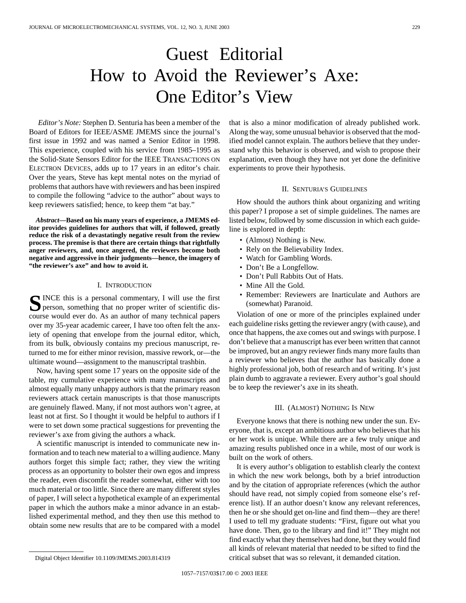# Guest Editorial How to Avoid the Reviewer's Axe: One Editor's View

*Editor's Note:* Stephen D. Senturia has been a member of the Board of Editors for IEEE/ASME JMEMS since the journal's first issue in 1992 and was named a Senior Editor in 1998. This experience, coupled with his service from 1985–1995 as the Solid-State Sensors Editor for the IEEE TRANSACTIONS ON ELECTRON DEVICES, adds up to 17 years in an editor's chair. Over the years, Steve has kept mental notes on the myriad of problems that authors have with reviewers and has been inspired to compile the following "advice to the author" about ways to keep reviewers satisfied; hence, to keep them "at bay."

*Abstract—***Based on his many years of experience, a JMEMS editor provides guidelines for authors that will, if followed, greatly reduce the risk of a devastatingly negative result from the review process. The premise is that there are certain things that rightfully anger reviewers, and, once angered, the reviewers become both negative and aggressive in their judgments—hence, the imagery of "the reviewer's axe" and how to avoid it.**

# I. INTRODUCTION

SINCE this is a personal commentary, I will use the first<br>person, something that no proper writer of scientific dis-<br>persons would sugged a de also perther of many technical persons course would ever do. As an author of many technical papers over my 35-year academic career, I have too often felt the anxiety of opening that envelope from the journal editor, which, from its bulk, obviously contains my precious manuscript, returned to me for either minor revision, massive rework, or—the ultimate wound—assignment to the manuscriptal trashbin.

Now, having spent some 17 years on the opposite side of the table, my cumulative experience with many manuscripts and almost equally many unhappy authors is that the primary reason reviewers attack certain manuscripts is that those manuscripts are genuinely flawed. Many, if not most authors won't agree, at least not at first. So I thought it would be helpful to authors if I were to set down some practical suggestions for preventing the reviewer's axe from giving the authors a whack.

A scientific manuscript is intended to communicate new information and to teach new material to a willing audience. Many authors forget this simple fact; rather, they view the writing process as an opportunity to bolster their own egos and impress the reader, even discomfit the reader somewhat, either with too much material or too little. Since there are many different styles of paper, I will select a hypothetical example of an experimental paper in which the authors make a minor advance in an established experimental method, and they then use this method to obtain some new results that are to be compared with a model that is also a minor modification of already published work. Along the way, some unusual behavior is observed that the modified model cannot explain. The authors believe that they understand why this behavior is observed, and wish to propose their explanation, even though they have not yet done the definitive experiments to prove their hypothesis.

# II. SENTURIA'S GUIDELINES

How should the authors think about organizing and writing this paper? I propose a set of simple guidelines. The names are listed below, followed by some discussion in which each guideline is explored in depth:

- (Almost) Nothing is New.
- Rely on the Believability Index.
- Watch for Gambling Words.
- Don't Be a Longfellow.
- Don't Pull Rabbits Out of Hats.
- Mine All the Gold.
- Remember: Reviewers are Inarticulate and Authors are (somewhat) Paranoid.

Violation of one or more of the principles explained under each guideline risks getting the reviewer angry (with cause), and once that happens, the axe comes out and swings with purpose. I don't believe that a manuscript has ever been written that cannot be improved, but an angry reviewer finds many more faults than a reviewer who believes that the author has basically done a highly professional job, both of research and of writing. It's just plain dumb to aggravate a reviewer. Every author's goal should be to keep the reviewer's axe in its sheath.

#### III. (ALMOST) NOTHING IS NEW

Everyone knows that there is nothing new under the sun. Everyone, that is, except an ambitious author who believes that his or her work is unique. While there are a few truly unique and amazing results published once in a while, most of our work is built on the work of others.

It is every author's obligation to establish clearly the context in which the new work belongs, both by a brief introduction and by the citation of appropriate references (which the author should have read, not simply copied from someone else's reference list). If an author doesn't know any relevant references, then he or she should get on-line and find them—they are there! I used to tell my graduate students: "First, figure out what you have done. Then, go to the library and find it!" They might not find exactly what they themselves had done, but they would find all kinds of relevant material that needed to be sifted to find the critical subset that was so relevant, it demanded citation.

Digital Object Identifier 10.1109/JMEMS.2003.814319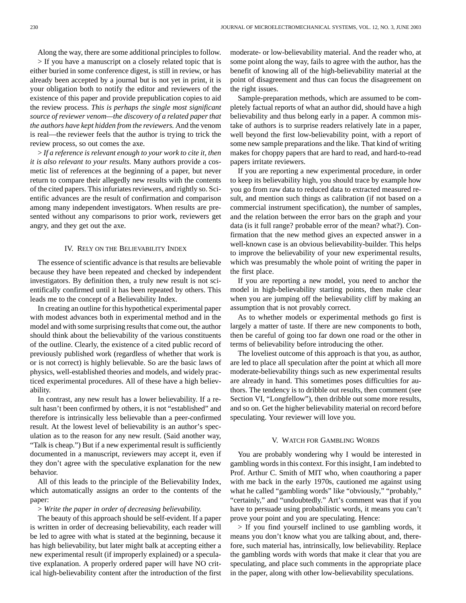Along the way, there are some additional principles to follow.

> If you have a manuscript on a closely related topic that is either buried in some conference digest, is still in review, or has already been accepted by a journal but is not yet in print, it is your obligation both to notify the editor and reviewers of the existence of this paper and provide prepublication copies to aid the review process. *This is perhaps the single most significant source of reviewer venom—the discovery of a related paper that the authors have kept hidden from the reviewers.* And the venom is real—the reviewer feels that the author is trying to trick the review process, so out comes the axe.

> *If a reference is relevant enough to your work to cite it, then it is also relevant to your results.* Many authors provide a cosmetic list of references at the beginning of a paper, but never return to compare their allegedly new results with the contents of the cited papers. This infuriates reviewers, and rightly so. Scientific advances are the result of confirmation and comparison among many independent investigators. When results are presented without any comparisons to prior work, reviewers get angry, and they get out the axe.

#### IV. RELY ON THE BELIEVABILITY INDEX

The essence of scientific advance is that results are believable because they have been repeated and checked by independent investigators. By definition then, a truly new result is not scientifically confirmed until it has been repeated by others. This leads me to the concept of a Believability Index.

In creating an outline for this hypothetical experimental paper with modest advances both in experimental method and in the model and with some surprising results that come out, the author should think about the believability of the various constituents of the outline. Clearly, the existence of a cited public record of previously published work (regardless of whether that work is or is not correct) is highly believable. So are the basic laws of physics, well-established theories and models, and widely practiced experimental procedures. All of these have a high believability.

In contrast, any new result has a lower believability. If a result hasn't been confirmed by others, it is not "established" and therefore is intrinsically less believable than a peer-confirmed result. At the lowest level of believability is an author's speculation as to the reason for any new result. (Said another way, "Talk is cheap.") But if a new experimental result is sufficiently documented in a manuscript, reviewers may accept it, even if they don't agree with the speculative explanation for the new behavior.

All of this leads to the principle of the Believability Index, which automatically assigns an order to the contents of the paper:

> *Write the paper in order of decreasing believability.*

The beauty of this approach should be self-evident. If a paper is written in order of decreasing believability, each reader will be led to agree with what is stated at the beginning, because it has high believability, but later might balk at accepting either a new experimental result (if improperly explained) or a speculative explanation. A properly ordered paper will have NO critical high-believability content after the introduction of the first moderate- or low-believability material. And the reader who, at some point along the way, fails to agree with the author, has the benefit of knowing all of the high-believability material at the point of disagreement and thus can focus the disagreement on the right issues.

Sample-preparation methods, which are assumed to be completely factual reports of what an author did, should have a high believability and thus belong early in a paper. A common mistake of authors is to surprise readers relatively late in a paper, well beyond the first low-believability point, with a report of some new sample preparations and the like. That kind of writing makes for choppy papers that are hard to read, and hard-to-read papers irritate reviewers.

If you are reporting a new experimental procedure, in order to keep its believability high, you should trace by example how you go from raw data to reduced data to extracted measured result, and mention such things as calibration (if not based on a commercial instrument specification), the number of samples, and the relation between the error bars on the graph and your data (is it full range? probable error of the mean? what?). Confirmation that the new method gives an expected answer in a well-known case is an obvious believability-builder. This helps to improve the believability of your new experimental results, which was presumably the whole point of writing the paper in the first place.

If you are reporting a new model, you need to anchor the model in high-believability starting points, then make clear when you are jumping off the believability cliff by making an assumption that is not provably correct.

As to whether models or experimental methods go first is largely a matter of taste. If there are new components to both, then be careful of going too far down one road or the other in terms of believability before introducing the other.

The loveliest outcome of this approach is that you, as author, are led to place all speculation after the point at which all more moderate-believability things such as new experimental results are already in hand. This sometimes poses difficulties for authors. The tendency is to dribble out results, then comment (see Section VI, "Longfellow"), then dribble out some more results, and so on. Get the higher believability material on record before speculating. Your reviewer will love you.

## V. WATCH FOR GAMBLING WORDS

You are probably wondering why I would be interested in gambling words in this context. For this insight, I am indebted to Prof. Arthur C. Smith of MIT who, when coauthoring a paper with me back in the early 1970s, cautioned me against using what he called "gambling words" like "obviously," "probably," "certainly," and "undoubtedly." Art's comment was that if you have to persuade using probabilistic words, it means you can't prove your point and you are speculating. Hence:

> If you find yourself inclined to use gambling words, it means you don't know what you are talking about, and, therefore, such material has, intrinsically, low believability. Replace the gambling words with words that make it clear that you are speculating, and place such comments in the appropriate place in the paper, along with other low-believability speculations.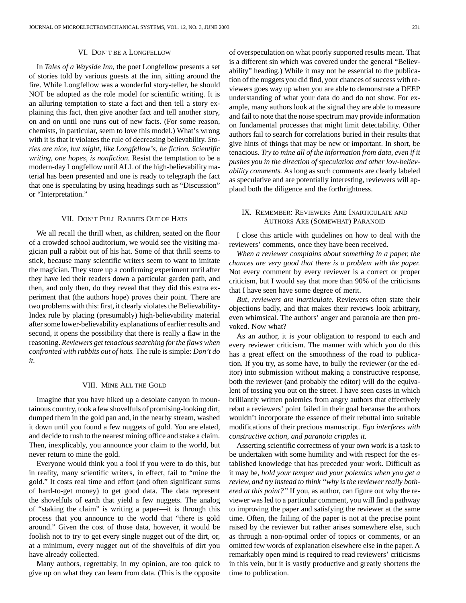#### VI. DON'T BE A LONGFELLOW

In *Tales of a Wayside Inn*, the poet Longfellow presents a set of stories told by various guests at the inn, sitting around the fire. While Longfellow was a wonderful story-teller, he should NOT be adopted as the role model for scientific writing. It is an alluring temptation to state a fact and then tell a story explaining this fact, then give another fact and tell another story, on and on until one runs out of new facts. (For some reason, chemists, in particular, seem to love this model.) What's wrong with it is that it violates the rule of decreasing believability. *Stories are nice, but might, like Longfellow's, be fiction. Scientific writing, one hopes, is nonfiction*. Resist the temptation to be a modern-day Longfellow until ALL of the high-believability material has been presented and one is ready to telegraph the fact that one is speculating by using headings such as "Discussion" or "Interpretation."

## VII. DON'T PULL RABBITS OUT OF HATS

We all recall the thrill when, as children, seated on the floor of a crowded school auditorium, we would see the visiting magician pull a rabbit out of his hat. Some of that thrill seems to stick, because many scientific writers seem to want to imitate the magician. They store up a confirming experiment until after they have led their readers down a particular garden path, and then, and only then, do they reveal that they did this extra experiment that (the authors hope) proves their point. There are two problems with this: first, it clearly violates the Believability-Index rule by placing (presumably) high-believability material after some lower-believability explanations of earlier results and second, it opens the possibility that there is really a flaw in the reasoning. *Reviewers get tenacious searching for the flaws when confronted with rabbits out of hats.* The rule is simple: *Don't do it.*

### VIII. MINE ALL THE GOLD

Imagine that you have hiked up a desolate canyon in mountainous country, took a few shovelfuls of promising-looking dirt, dumped them in the gold pan and, in the nearby stream, washed it down until you found a few nuggets of gold. You are elated, and decide to rush to the nearest mining office and stake a claim. Then, inexplicably, you announce your claim to the world, but never return to mine the gold.

Everyone would think you a fool if you were to do this, but in reality, many scientific writers, in effect, fail to "mine the gold." It costs real time and effort (and often significant sums of hard-to-get money) to get good data. The data represent the shovelfuls of earth that yield a few nuggets. The analog of "staking the claim" is writing a paper—it is through this process that you announce to the world that "there is gold around." Given the cost of those data, however, it would be foolish not to try to get every single nugget out of the dirt, or, at a minimum, every nugget out of the shovelfuls of dirt you have already collected.

Many authors, regrettably, in my opinion, are too quick to give up on what they can learn from data. (This is the opposite of overspeculation on what poorly supported results mean. That is a different sin which was covered under the general "Believability" heading.) While it may not be essential to the publication of the nuggets you did find, your chances of success with reviewers goes way up when you are able to demonstrate a DEEP understanding of what your data do and do not show. For example, many authors look at the signal they are able to measure and fail to note that the noise spectrum may provide information on fundamental processes that might limit detectability. Other authors fail to search for correlations buried in their results that give hints of things that may be new or important. In short, be tenacious. *Try to mine all of the information from data, even if it pushes you in the direction of speculation and other low-believability comments.* As long as such comments are clearly labeled as speculative and are potentially interesting, reviewers will applaud both the diligence and the forthrightness.

# IX. REMEMBER: REVIEWERS ARE INARTICULATE AND AUTHORS ARE (SOMEWHAT) PARANOID

I close this article with guidelines on how to deal with the reviewers' comments, once they have been received.

*When a reviewer complains about something in a paper, the chances are very good that there is a problem with the paper.* Not every comment by every reviewer is a correct or proper criticism, but I would say that more than 90% of the criticisms that I have seen have some degree of merit.

*But, reviewers are inarticulate.* Reviewers often state their objections badly, and that makes their reviews look arbitrary, even whimsical. The authors' anger and paranoia are then provoked. Now what?

As an author, it is your obligation to respond to each and every reviewer criticism. The manner with which you do this has a great effect on the smoothness of the road to publication. If you try, as some have, to bully the reviewer (or the editor) into submission without making a constructive response, both the reviewer (and probably the editor) will do the equivalent of tossing you out on the street. I have seen cases in which brilliantly written polemics from angry authors that effectively rebut a reviewers' point failed in their goal because the authors wouldn't incorporate the essence of their rebuttal into suitable modifications of their precious manuscript. *Ego interferes with constructive action, and paranoia cripples it.*

Asserting scientific correctness of your own work is a task to be undertaken with some humility and with respect for the established knowledge that has preceded your work. Difficult as it may be, *hold your temper and your polemics when you get a review, and try instead to think "why is the reviewer really bothered at this point?"* If you, as author, can figure out why the reviewer was led to a particular comment, you will find a pathway to improving the paper and satisfying the reviewer at the same time. Often, the failing of the paper is not at the precise point raised by the reviewer but rather arises somewhere else, such as through a non-optimal order of topics or comments, or an omitted few words of explanation elsewhere else in the paper. A remarkably open mind is required to read reviewers' criticisms in this vein, but it is vastly productive and greatly shortens the time to publication.